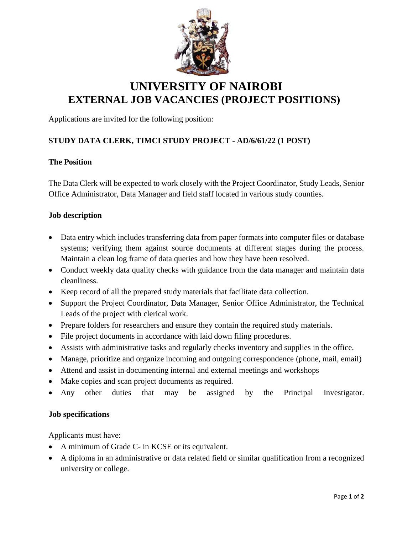

# **UNIVERSITY OF NAIROBI EXTERNAL JOB VACANCIES (PROJECT POSITIONS)**

Applications are invited for the following position:

# **STUDY DATA CLERK, TIMCI STUDY PROJECT - AD/6/61/22 (1 POST)**

#### **The Position**

The Data Clerk will be expected to work closely with the Project Coordinator, Study Leads, Senior Office Administrator, Data Manager and field staff located in various study counties.

#### **Job description**

- Data entry which includes transferring data from paper formats into computer files or database systems; verifying them against source documents at different stages during the process. Maintain a clean log frame of data queries and how they have been resolved.
- Conduct weekly data quality checks with guidance from the data manager and maintain data cleanliness.
- Keep record of all the prepared study materials that facilitate data collection.
- Support the Project Coordinator, Data Manager, Senior Office Administrator, the Technical Leads of the project with clerical work.
- Prepare folders for researchers and ensure they contain the required study materials.
- File project documents in accordance with laid down filing procedures.
- Assists with administrative tasks and regularly checks inventory and supplies in the office.
- Manage, prioritize and organize incoming and outgoing correspondence (phone, mail, email)
- Attend and assist in documenting internal and external meetings and workshops
- Make copies and scan project documents as required.
- Any other duties that may be assigned by the Principal Investigator.

#### **Job specifications**

Applicants must have:

- A minimum of Grade C- in KCSE or its equivalent.
- A diploma in an administrative or data related field or similar qualification from a recognized university or college.